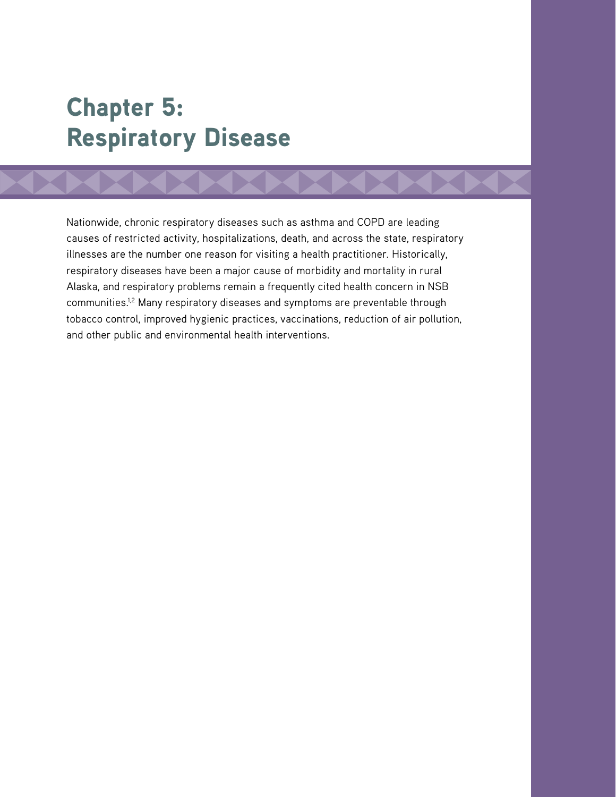# Chapter 5: Respiratory Disease

Nationwide, chronic respiratory diseases such as asthma and COPD are leading causes of restricted activity, hospitalizations, death, and across the state, respiratory illnesses are the number one reason for visiting a health practitioner. Historically, respiratory diseases have been a major cause of morbidity and mortality in rural Alaska, and respiratory problems remain a frequently cited health concern in NSB communities.1,2 Many respiratory diseases and symptoms are preventable through tobacco control, improved hygienic practices, vaccinations, reduction of air pollution, and other public and environmental health interventions.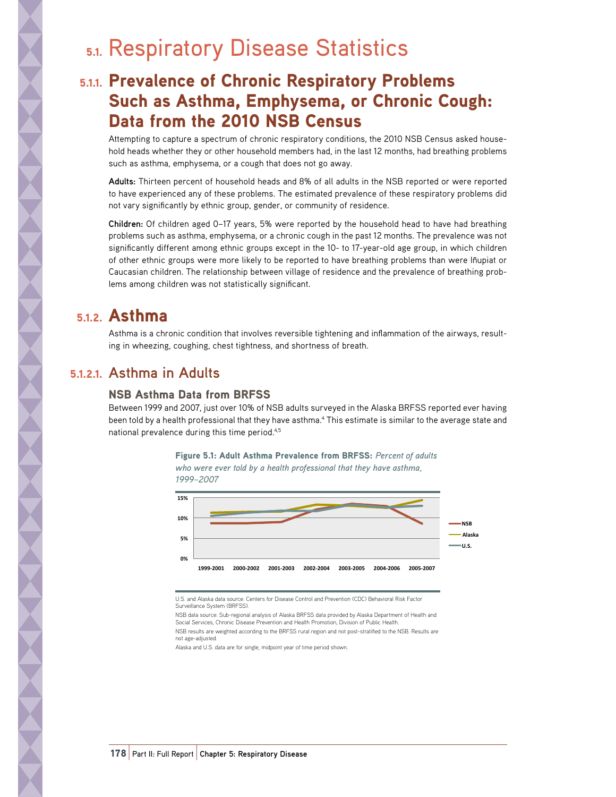# 5.1. Respiratory Disease Statistics

# 5.1.1. Prevalence of Chronic Respiratory Problems Such as Asthma, Emphysema, or Chronic Cough: Data from the 2010 NSB Census

Attempting to capture a spectrum of chronic respiratory conditions, the 2010 NSB Census asked household heads whether they or other household members had, in the last 12 months, had breathing problems such as asthma, emphysema, or a cough that does not go away.

**Adults:** Thirteen percent of household heads and 8% of all adults in the NSB reported or were reported to have experienced any of these problems. The estimated prevalence of these respiratory problems did not vary significantly by ethnic group, gender, or community of residence.

**Children:** Of children aged 0–17 years, 5% were reported by the household head to have had breathing problems such as asthma, emphysema, or a chronic cough in the past 12 months. The prevalence was not significantly different among ethnic groups except in the 10- to 17-year-old age group, in which children of other ethnic groups were more likely to be reported to have breathing problems than were Iñupiat or Caucasian children. The relationship between village of residence and the prevalence of breathing problems among children was not statistically significant.

# 5.1.2. Asthma

Asthma is a chronic condition that involves reversible tightening and inflammation of the airways, resulting in wheezing, coughing, chest tightness, and shortness of breath.

### 5.1.2.1. **Asthma in Adults**

### NSB Asthma Data from BRFSS

Between 1999 and 2007, just over 10% of NSB adults surveyed in the Alaska BRFSS reported ever having been told by a health professional that they have asthma.<sup>4</sup> This estimate is similar to the average state and national prevalence during this time period.4,5





U.S. and Alaska data source: Centers for Disease Control and Prevention (CDC) Behavioral Risk Factor Surveillance System (BRFSS).

NSB data source: Sub-regional analysis of Alaska BRFSS data provided by Alaska Department of Health and<br>Social Services, Chronic Disease Prevention and Health Promotion, Division of Public Health. NSB results are weighted according to the BRFSS rural region and not post-stratified to the NSB. Results are not age-adjusted.

Alaska and U.S. data are for single, midpoint year of time period shown.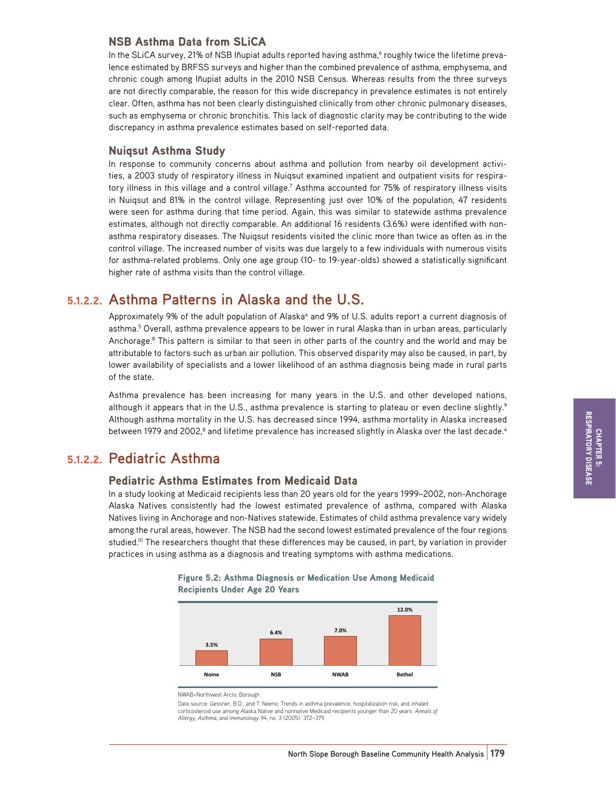#### NSB Asthma Data from SLiCA

In the SLiCA survey, 21% of NSB Iñupiat adults reported having asthma,<sup>6</sup> roughly twice the lifetime prevalence estimated by BRFSS surveys and higher than the combined prevalence of asthma, emphysema, and chronic cough among Iñupiat adults in the 2010 NSB Census. Whereas results from the three surveys are not directly comparable, the reason for this wide discrepancy in prevalence estimates is not entirely clear. Often, asthma has not been clearly distinguished clinically from other chronic pulmonary diseases, such as emphysema or chronic bronchitis. This lack of diagnostic clarity may be contributing to the wide discrepancy in asthma prevalence estimates based on self-reported data.

#### Nuiqsut Asthma Study

In response to community concerns about asthma and pollution from nearby oil development activities, a 2003 study of respiratory illness in Nuiqsut examined inpatient and outpatient visits for respiratory illness in this village and a control village.<sup>7</sup> Asthma accounted for 75% of respiratory illness visits in Nuiqsut and 81% in the control village. Representing just over 10% of the population, 47 residents were seen for asthma during that time period. Again, this was similar to statewide asthma prevalence estimates, although not directly comparable. An additional 16 residents (3.6%) were identified with nonasthma respiratory diseases. The Nuiqsut residents visited the clinic more than twice as often as in the control village. The increased number of visits was due largely to a few individuals with numerous visits for asthma-related problems. Only one age group (10- to 19-year-olds) showed a statistically significant higher rate of asthma visits than the control village.

### 5.1.2.2. **Asthma Patterns in Alaska and the U.S.**

Approximately 9% of the adult population of Alaska<sup>4</sup> and 9% of U.S. adults report a current diagnosis of asthma.<sup>5</sup> Overall, asthma prevalence appears to be lower in rural Alaska than in urban areas, particularly Anchorage.<sup>8</sup> This pattern is similar to that seen in other parts of the country and the world and may be attributable to factors such as urban air pollution. This observed disparity may also be caused, in part, by lower availability of specialists and a lower likelihood of an asthma diagnosis being made in rural parts of the state.

Asthma prevalence has been increasing for many years in the U.S. and other developed nations, although it appears that in the U.S., asthma prevalence is starting to plateau or even decline slightly.<sup>9</sup> Although asthma mortality in the U.S. has decreased since 1994, asthma mortality in Alaska increased between 1979 and 2002, $^{\rm 8}$  and lifetime prevalence has increased slightly in Alaska over the last decade. $^{\rm 4}$ 

### 5.1.2.2. **Pediatric Asthma**

#### Pediatric Asthma Estimates from Medicaid Data

In a study looking at Medicaid recipients less than 20 years old for the years 1999–2002, non-Anchorage Alaska Natives consistently had the lowest estimated prevalence of asthma, compared with Alaska Natives living in Anchorage and non-Natives statewide. Estimates of child asthma prevalence vary widely among the rural areas, however. The NSB had the second lowest estimated prevalence of the four regions studied.<sup>10</sup> The researchers thought that these differences may be caused, in part, by variation in provider practices in using asthma as a diagnosis and treating symptoms with asthma medications.



Figure 5.2: Asthma Diagnosis or Medication Use Among Medicaid  $Recipients Under Age 20 Years$ 

NWAB=Northwest Arctic Borough

Data source: Gessner, B.D., and T. Neeno: Trends in asthma prevalence, hospitalization risk, and inhaled corticosteroid use among Alaska Native and nonnative Medicaid recipients younger than 20 years. *Annals of Allergy, Asthma, and Immunology* 94, no. 3 (2005): 372–379.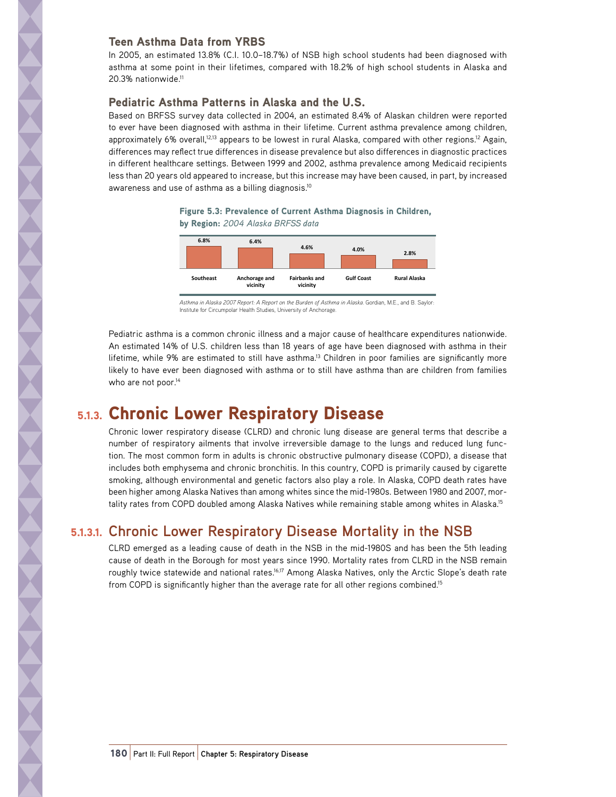#### Teen Asthma Data from YRBS

In 2005, an estimated 13.8% (C.I. 10.0–18.7%) of NSB high school students had been diagnosed with asthma at some point in their lifetimes, compared with 18.2% of high school students in Alaska and 20.3% nationwide.11

#### Pediatric Asthma Patterns in Alaska and the U.S.

Based on BRFSS survey data collected in 2004, an estimated 8.4% of Alaskan children were reported to ever have been diagnosed with asthma in their lifetime. Current asthma prevalence among children, approximately 6% overall,<sup>12,13</sup> appears to be lowest in rural Alaska, compared with other regions.<sup>12</sup> Again, differences may reflect true differences in disease prevalence but also differences in diagnostic practices in different healthcare settings. Between 1999 and 2002, asthma prevalence among Medicaid recipients less than 20 years old appeared to increase, but this increase may have been caused, in part, by increased awareness and use of asthma as a billing diagnosis.10

Figure 5.3: Prevalence of Current Asthma Diagnosis in Children,  $b$ v Region: 2004 Alaska BRFSS data



*Asthma in Alaska 2007 Report: A Report on the Burden of Asthma in Alaska.* Gordian, M.E., and B. Saylor: Institute for Circumpolar Health Studies, University of Anchorage.

Pediatric asthma is a common chronic illness and a major cause of healthcare expenditures nationwide. An estimated 14% of U.S. children less than 18 years of age have been diagnosed with asthma in their lifetime, while 9% are estimated to still have asthma.<sup>13</sup> Children in poor families are significantly more likely to have ever been diagnosed with asthma or to still have asthma than are children from families who are not poor.<sup>14</sup>

# 5.1.3. Chronic Lower Respiratory Disease

Chronic lower respiratory disease (CLRD) and chronic lung disease are general terms that describe a number of respiratory ailments that involve irreversible damage to the lungs and reduced lung function. The most common form in adults is chronic obstructive pulmonary disease (COPD), a disease that includes both emphysema and chronic bronchitis. In this country, COPD is primarily caused by cigarette smoking, although environmental and genetic factors also play a role. In Alaska, COPD death rates have been higher among Alaska Natives than among whites since the mid-1980s. Between 1980 and 2007, mortality rates from COPD doubled among Alaska Natives while remaining stable among whites in Alaska.<sup>15</sup>

### 5.1.3.1. **Chronic Lower Respiratory Disease Mortality in the NSB**

CLRD emerged as a leading cause of death in the NSB in the mid-1980S and has been the 5th leading cause of death in the Borough for most years since 1990. Mortality rates from CLRD in the NSB remain roughly twice statewide and national rates.<sup>16,17</sup> Among Alaska Natives, only the Arctic Slope's death rate from COPD is significantly higher than the average rate for all other regions combined.<sup>15</sup>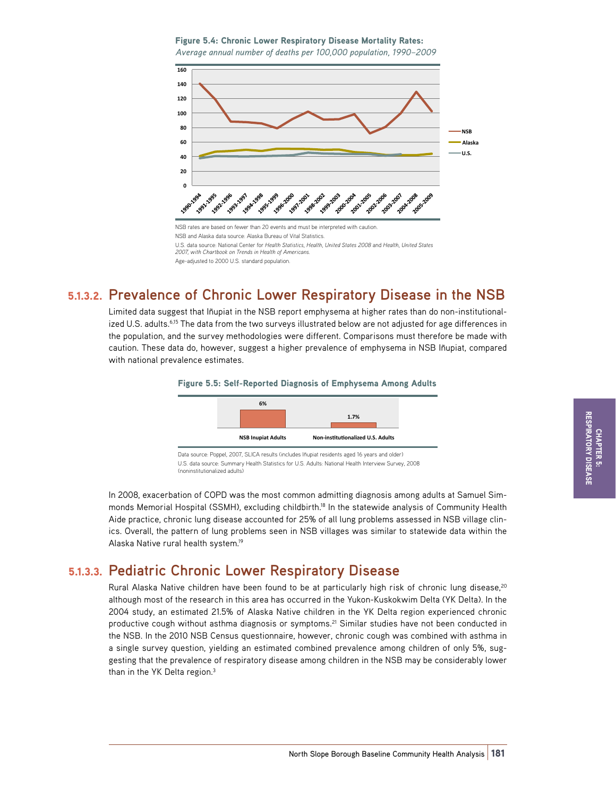Figure 5.4: Chronic Lower Respiratory Disease Mortality Rates: Average annual number of deaths per 100,000 population, 1990-2009



## 5.1.3.2. **Prevalence of Chronic Lower Respiratory Disease in the NSB**

Limited data suggest that Iñupiat in the NSB report emphysema at higher rates than do non-institutionalized U.S. adults.<sup>6,15</sup> The data from the two surveys illustrated below are not adjusted for age differences in the population, and the survey methodologies were different. Comparisons must therefore be made with caution. These data do, however, suggest a higher prevalence of emphysema in NSB Iñupiat, compared with national prevalence estimates.

#### Figure 5.5: Self-Reported Diagnosis of Emphysema Among Adults



U.S. data source: Summary Health Statistics for U.S. Adults: National Health Interview Survey, 2008 (noninstitutionalized adults)

In 2008, exacerbation of COPD was the most common admitting diagnosis among adults at Samuel Simmonds Memorial Hospital (SSMH), excluding childbirth.<sup>18</sup> In the statewide analysis of Community Health Aide practice, chronic lung disease accounted for 25% of all lung problems assessed in NSB village clinics. Overall, the pattern of lung problems seen in NSB villages was similar to statewide data within the Alaska Native rural health system.19

### 5.1.3.3. **Pediatric Chronic Lower Respiratory Disease**

Rural Alaska Native children have been found to be at particularly high risk of chronic lung disease,<sup>20</sup> although most of the research in this area has occurred in the Yukon-Kuskokwim Delta (YK Delta). In the 2004 study, an estimated 21.5% of Alaska Native children in the YK Delta region experienced chronic productive cough without asthma diagnosis or symptoms.<sup>21</sup> Similar studies have not been conducted in the NSB. In the 2010 NSB Census questionnaire, however, chronic cough was combined with asthma in a single survey question, yielding an estimated combined prevalence among children of only 5%, suggesting that the prevalence of respiratory disease among children in the NSB may be considerably lower than in the YK Delta region.<sup>3</sup>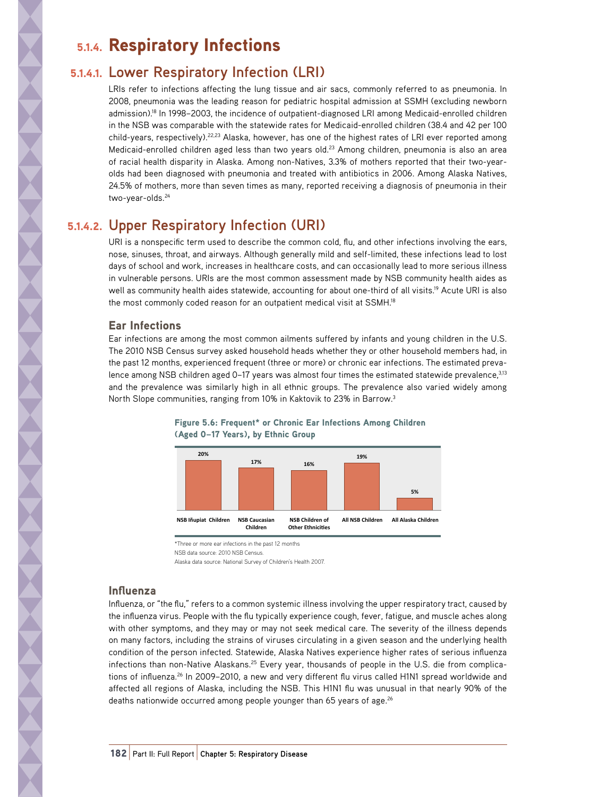# 5.1.4. Respiratory Infections

## 5.1.4.1. **Lower Respiratory Infection (LRI)**

LRIs refer to infections affecting the lung tissue and air sacs, commonly referred to as pneumonia. In 2008, pneumonia was the leading reason for pediatric hospital admission at SSMH (excluding newborn admission).18 In 1998–2003, the incidence of outpatient-diagnosed LRI among Medicaid-enrolled children in the NSB was comparable with the statewide rates for Medicaid-enrolled children (38.4 and 42 per 100 child-years, respectively).22,23 Alaska, however, has one of the highest rates of LRI ever reported among Medicaid-enrolled children aged less than two years old.<sup>23</sup> Among children, pneumonia is also an area of racial health disparity in Alaska. Among non-Natives, 3.3% of mothers reported that their two-yearolds had been diagnosed with pneumonia and treated with antibiotics in 2006. Among Alaska Natives, 24.5% of mothers, more than seven times as many, reported receiving a diagnosis of pneumonia in their two-year-olds.24

# 5.1.4.2. **Upper Respiratory Infection (URI)**

URI is a nonspecific term used to describe the common cold, flu, and other infections involving the ears, nose, sinuses, throat, and airways. Although generally mild and self-limited, these infections lead to lost days of school and work, increases in healthcare costs, and can occasionally lead to more serious illness in vulnerable persons. URIs are the most common assessment made by NSB community health aides as well as community health aides statewide, accounting for about one-third of all visits.<sup>19</sup> Acute URI is also the most commonly coded reason for an outpatient medical visit at SSMH.18

### Ear Infections

Ear infections are among the most common ailments suffered by infants and young children in the U.S. The 2010 NSB Census survey asked household heads whether they or other household members had, in the past 12 months, experienced frequent (three or more) or chronic ear infections. The estimated prevalence among NSB children aged 0-17 years was almost four times the estimated statewide prevalence, 3,13 and the prevalence was similarly high in all ethnic groups. The prevalence also varied widely among North Slope communities, ranging from 10% in Kaktovik to 23% in Barrow.3



#### Figure 5.6: Frequent\* or Chronic Ear Infections Among Children **(Aged 0–17 Years), by Ethnic Group**

\*Three or more ear infections in the past 12 months

NSB data source: 2010 NSB Census.

Alaska data source: National Survey of Children's Health 2007.

### Influenza

Influenza, or "the flu," refers to a common systemic illness involving the upper respiratory tract, caused by the influenza virus. People with the flu typically experience cough, fever, fatigue, and muscle aches along with other symptoms, and they may or may not seek medical care. The severity of the illness depends on many factors, including the strains of viruses circulating in a given season and the underlying health condition of the person infected. Statewide, Alaska Natives experience higher rates of serious influenza infections than non-Native Alaskans.<sup>25</sup> Every year, thousands of people in the U.S. die from complications of influenza.<sup>26</sup> In 2009–2010, a new and very different flu virus called H1N1 spread worldwide and affected all regions of Alaska, including the NSB. This H1N1 flu was unusual in that nearly 90% of the deaths nationwide occurred among people younger than 65 years of age.<sup>26</sup>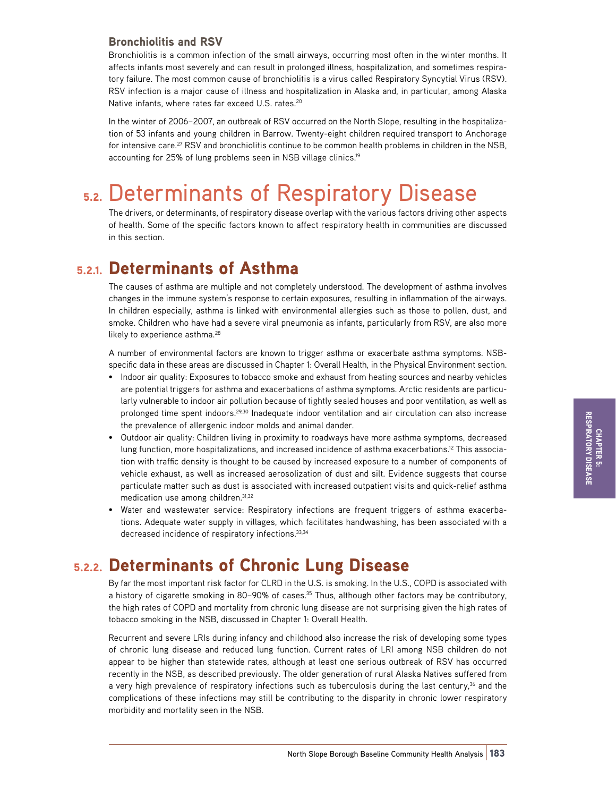### Bronchiolitis and RSV

Bronchiolitis is a common infection of the small airways, occurring most often in the winter months. It affects infants most severely and can result in prolonged illness, hospitalization, and sometimes respiratory failure. The most common cause of bronchiolitis is a virus called Respiratory Syncytial Virus (RSV). RSV infection is a major cause of illness and hospitalization in Alaska and, in particular, among Alaska Native infants, where rates far exceed U.S. rates.<sup>20</sup>

In the winter of 2006–2007, an outbreak of RSV occurred on the North Slope, resulting in the hospitalization of 53 infants and young children in Barrow. Twenty-eight children required transport to Anchorage for intensive care.<sup>27</sup> RSV and bronchiolitis continue to be common health problems in children in the NSB, accounting for 25% of lung problems seen in NSB village clinics.<sup>19</sup>

# 5.2. Determinants of Respiratory Disease

The drivers, or determinants, of respiratory disease overlap with the various factors driving other aspects of health. Some of the specific factors known to affect respiratory health in communities are discussed in this section.

## 5.2.1. Determinants of Asthma

The causes of asthma are multiple and not completely understood. The development of asthma involves changes in the immune system's response to certain exposures, resulting in inflammation of the airways. In children especially, asthma is linked with environmental allergies such as those to pollen, dust, and smoke. Children who have had a severe viral pneumonia as infants, particularly from RSV, are also more likely to experience asthma.<sup>28</sup>

A number of environmental factors are known to trigger asthma or exacerbate asthma symptoms. NSBspecific data in these areas are discussed in Chapter 1: Overall Health, in the Physical Environment section.

- Indoor air quality: Exposures to tobacco smoke and exhaust from heating sources and nearby vehicles are potential triggers for asthma and exacerbations of asthma symptoms. Arctic residents are particularly vulnerable to indoor air pollution because of tightly sealed houses and poor ventilation, as well as prolonged time spent indoors.<sup>29,30</sup> Inadequate indoor ventilation and air circulation can also increase the prevalence of allergenic indoor molds and animal dander.
- Outdoor air quality: Children living in proximity to roadways have more asthma symptoms, decreased lung function, more hospitalizations, and increased incidence of asthma exacerbations.<sup>12</sup> This association with traffic density is thought to be caused by increased exposure to a number of components of vehicle exhaust, as well as increased aerosolization of dust and silt. Evidence suggests that course particulate matter such as dust is associated with increased outpatient visits and quick-relief asthma medication use among children.31,32
- Water and wastewater service: Respiratory infections are frequent triggers of asthma exacerbations. Adequate water supply in villages, which facilitates handwashing, has been associated with a decreased incidence of respiratory infections.<sup>33,34</sup>

## 5.2.2. Determinants of Chronic Lung Disease

By far the most important risk factor for CLRD in the U.S. is smoking. In the U.S., COPD is associated with a history of cigarette smoking in 80-90% of cases.<sup>35</sup> Thus, although other factors may be contributory, the high rates of COPD and mortality from chronic lung disease are not surprising given the high rates of tobacco smoking in the NSB, discussed in Chapter 1: Overall Health.

Recurrent and severe LRIs during infancy and childhood also increase the risk of developing some types of chronic lung disease and reduced lung function. Current rates of LRI among NSB children do not appear to be higher than statewide rates, although at least one serious outbreak of RSV has occurred recently in the NSB, as described previously. The older generation of rural Alaska Natives suffered from a very high prevalence of respiratory infections such as tuberculosis during the last century,<sup>36</sup> and the complications of these infections may still be contributing to the disparity in chronic lower respiratory morbidity and mortality seen in the NSB.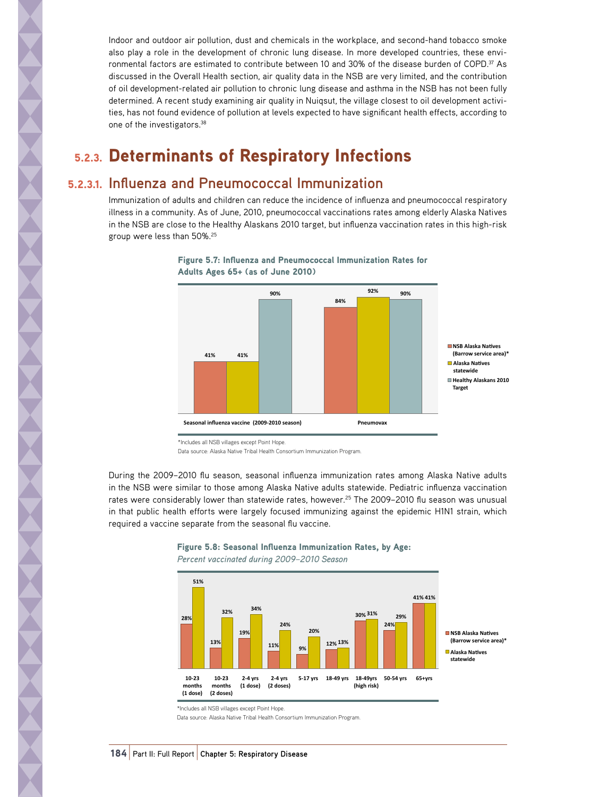Indoor and outdoor air pollution, dust and chemicals in the workplace, and second-hand tobacco smoke also play a role in the development of chronic lung disease. In more developed countries, these environmental factors are estimated to contribute between 10 and 30% of the disease burden of COPD.<sup>37</sup> As discussed in the Overall Health section, air quality data in the NSB are very limited, and the contribution of oil development-related air pollution to chronic lung disease and asthma in the NSB has not been fully determined. A recent study examining air quality in Nuiqsut, the village closest to oil development activities, has not found evidence of pollution at levels expected to have significant health effects, according to one of the investigators.38

# 5.2.3. Determinants of Respiratory Infections

### 5.2.3.1. **Influenza and Pneumococcal Immunization**

Immunization of adults and children can reduce the incidence of influenza and pneumococcal respiratory illness in a community. As of June, 2010, pneumococcal vaccinations rates among elderly Alaska Natives in the NSB are close to the Healthy Alaskans 2010 target, but influenza vaccination rates in this high-risk group were less than 50%.25



Figure 5.7: Influenza and Pneumococcal Immunization Rates for  $A$ dults Ages 65+ (as of June 2010)

Data source: Alaska Native Tribal Health Consortium Immunization Program.

During the 2009–2010 flu season, seasonal influenza immunization rates among Alaska Native adults in the NSB were similar to those among Alaska Native adults statewide. Pediatric influenza vaccination rates were considerably lower than statewide rates, however.<sup>25</sup> The 2009-2010 flu season was unusual in that public health efforts were largely focused immunizing against the epidemic H1N1 strain, which required a vaccine separate from the seasonal flu vaccine.



#### Figure 5.8: Seasonal Influenza Immunization Rates, by Age:  $Percent$  vaccinated during 2009–2010 Season

\*Includes all NSB villages except Point Hope.

Data source: Alaska Native Tribal Health Consortium Immunization Program.

<sup>\*</sup>Includes all NSB villages except Point Hope.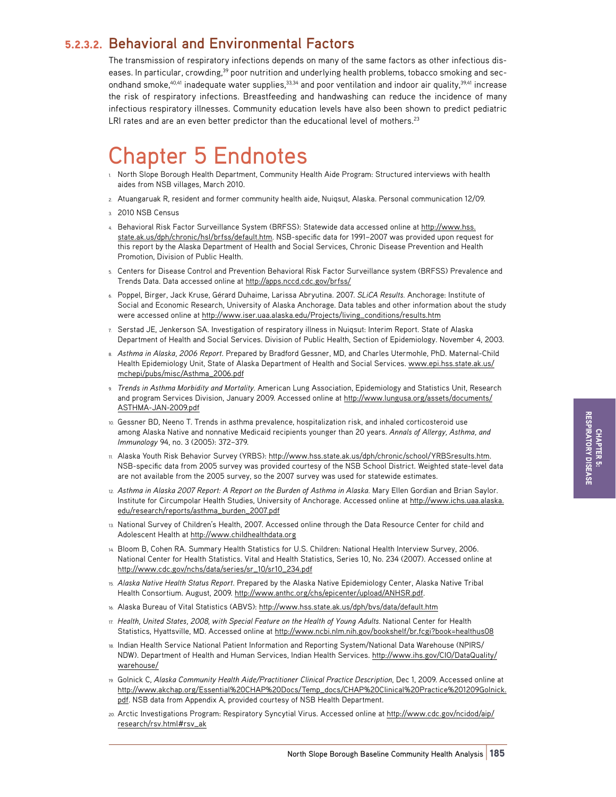### 5.2.3.2. **Behavioral and Environmental Factors**

The transmission of respiratory infections depends on many of the same factors as other infectious diseases. In particular, crowding,<sup>39</sup> poor nutrition and underlying health problems, tobacco smoking and secondhand smoke, $40,41$  inadequate water supplies, $33,34$  and poor ventilation and indoor air quality, $39,41$  increase the risk of respiratory infections. Breastfeeding and handwashing can reduce the incidence of many infectious respiratory illnesses. Community education levels have also been shown to predict pediatric LRI rates and are an even better predictor than the educational level of mothers.<sup>23</sup>

# Chapter 5 Endnotes

- 1. North Slope Borough Health Department, Community Health Aide Program: Structured interviews with health aides from NSB villages, March 2010.
- 2. Atuangaruak R, resident and former community health aide, Nuiqsut, Alaska. Personal communication 12/09.
- 3. 2010 NSB Census
- 4. Behavioral Risk Factor Surveillance System (BRFSS): Statewide data accessed online at [http://www.hss.](http://www.hss.state.ak.us/dph/chronic/hsl/brfss/default.htm) [state.ak.us/dph/chronic/hsl/brfss/default.htm.](http://www.hss.state.ak.us/dph/chronic/hsl/brfss/default.htm) NSB-specific data for 1991–2007 was provided upon request for this report by the Alaska Department of Health and Social Services, Chronic Disease Prevention and Health Promotion, Division of Public Health.
- 5. Centers for Disease Control and Prevention Behavioral Risk Factor Surveillance system (BRFSS) Prevalence and Trends Data. Data accessed online at<http://apps.nccd.cdc.gov/brfss/>
- 6. Poppel, Birger, Jack Kruse, Gérard Duhaime, Larissa Abryutina. 2007. *SLiCA Results.* Anchorage: Institute of Social and Economic Research, University of Alaska Anchorage. Data tables and other information about the study were accessed online at [http://www.iser.uaa.alaska.edu/Projects/living\\_conditions/results.htm](http://www.iser.uaa.alaska.edu/Projects/living_conditions/results.htm)
- 7. Serstad JE, Jenkerson SA. Investigation of respiratory illness in Nuiqsut: Interim Report. State of Alaska Department of Health and Social Services. Division of Public Health, Section of Epidemiology. November 4, 2003.
- 8. *Asthma in Alaska, 2006 Report*. Prepared by Bradford Gessner, MD, and Charles Utermohle, PhD. Maternal-Child Health Epidemiology Unit, State of Alaska Department of Health and Social Services. [www.epi.hss.state.ak.us/](http://www.epi.hss.state.ak.us/mchepi/pubs/misc/Asthma_2006.pdf) [mchepi/pubs/misc/Asthma\\_2006.pdf](http://www.epi.hss.state.ak.us/mchepi/pubs/misc/Asthma_2006.pdf)
- 9. *Trends in Asthma Morbidity and Mortality.* American Lung Association, Epidemiology and Statistics Unit, Research and program Services Division, January 2009. Accessed online at [http://www.lungusa.org/assets/documents/](http://www.lungusa.org/assets/documents/ASTHMA-JAN-2009.pdf) [ASTHMA-JAN-2009.pdf](http://www.lungusa.org/assets/documents/ASTHMA-JAN-2009.pdf)
- 10. Gessner BD, Neeno T. Trends in asthma prevalence, hospitalization risk, and inhaled corticosteroid use among Alaska Native and nonnative Medicaid recipients younger than 20 years. *Annals of Allergy, Asthma, and Immunology* 94, no. 3 (2005): 372–379.
- 11. Alaska Youth Risk Behavior Survey (YRBS): [http://www.hss.state.ak.us/dph/chronic/school/YRBSresults.htm.](http://www.hss.state.ak.us/dph/chronic/school/YRBSresults.htm) NSB-specific data from 2005 survey was provided courtesy of the NSB School District. Weighted state-level data are not available from the 2005 survey, so the 2007 survey was used for statewide estimates.
- 12. *Asthma in Alaska 2007 Report: A Report on the Burden of Asthma in Alaska.* Mary Ellen Gordian and Brian Saylor. Institute for Circumpolar Health Studies, University of Anchorage. Accessed online at [http://www.ichs.uaa.alaska.](http://www.ichs.uaa.alaska.edu/research/reports/asthma_burden_2007.pdf) [edu/research/reports/asthma\\_burden\\_2007.pdf](http://www.ichs.uaa.alaska.edu/research/reports/asthma_burden_2007.pdf)
- 13. National Survey of Children's Health, 2007. Accessed online through the Data Resource Center for child and Adolescent Health at <http://www.childhealthdata.org>
- 14. Bloom B, Cohen RA. Summary Health Statistics for U.S. Children: National Health Interview Survey, 2006. National Center for Health Statistics. Vital and Health Statistics, Series 10, No. 234 (2007). Accessed online at [http://www.cdc.gov/nchs/data/series/sr\\_10/sr10\\_234.pdf](http://www.cdc.gov/nchs/data/series/sr_10/sr10_234.pdf)
- 15. *Alaska Native Health Status Report*. Prepared by the Alaska Native Epidemiology Center, Alaska Native Tribal Health Consortium. August, 2009. [http://www.anthc.org/chs/epicenter/upload/ANHSR.pdf.](http://www.anthc.org/chs/epicenter/upload/ANHSR.pdf)
- 16. Alaska Bureau of Vital Statistics (ABVS): <http://www.hss.state.ak.us/dph/bvs/data/default.htm>
- 17. *Health, United States, 2008, with Special Feature on the Health of Young Adults.* National Center for Health Statistics, Hyattsville, MD. Accessed online at<http://www.ncbi.nlm.nih.gov/bookshelf/br.fcgi?book=healthus08>
- 18. Indian Health Service National Patient Information and Reporting System/National Data Warehouse (NPIRS/ NDW). Department of Health and Human Services, Indian Health Services. [http://www.ihs.gov/CIO/DataQuality/](http://www.ihs.gov/CIO/DataQuality/warehouse/) [warehouse/](http://www.ihs.gov/CIO/DataQuality/warehouse/)
- 19. Golnick C, *Alaska Community Health Aide/Practitioner Clinical Practice Description*, Dec 1, 2009. Accessed online at [http://www.akchap.org/Essential%20CHAP%20Docs/Temp\\_docs/CHAP%20Clinical%20Practice%201209Golnick.](http://www.akchap.org/Essential CHAP Docs/Temp_docs/CHAP Clinical Practice 1209Golnick.pdf) [pdf.](http://www.akchap.org/Essential CHAP Docs/Temp_docs/CHAP Clinical Practice 1209Golnick.pdf) NSB data from Appendix A, provided courtesy of NSB Health Department.
- 20. Arctic Investigations Program: Respiratory Syncytial Virus. Accessed online at [http://www.cdc.gov/ncidod/aip/](http://www.cdc.gov/ncidod/aip/research/rsv.html#rsv_ak) [research/rsv.html#rsv\\_ak](http://www.cdc.gov/ncidod/aip/research/rsv.html#rsv_ak)